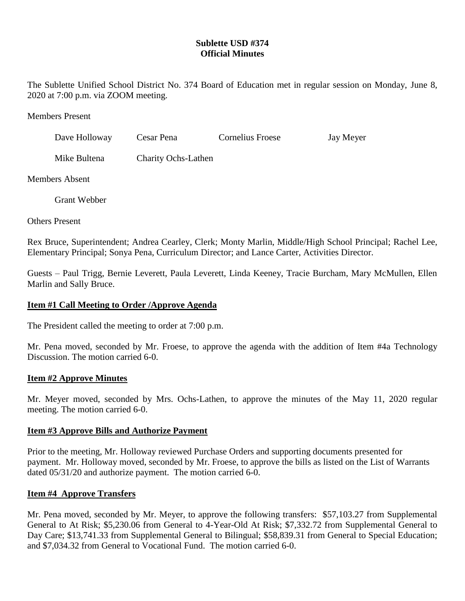# **Sublette USD #374 Official Minutes**

The Sublette Unified School District No. 374 Board of Education met in regular session on Monday, June 8, 2020 at 7:00 p.m. via ZOOM meeting.

Members Present

| Dave Holloway | Cesar Pena                 | Cornelius Froese | Jay Meyer |
|---------------|----------------------------|------------------|-----------|
| Mike Bultena  | <b>Charity Ochs-Lathen</b> |                  |           |

Members Absent

Grant Webber

Others Present

Rex Bruce, Superintendent; Andrea Cearley, Clerk; Monty Marlin, Middle/High School Principal; Rachel Lee, Elementary Principal; Sonya Pena, Curriculum Director; and Lance Carter, Activities Director.

Guests – Paul Trigg, Bernie Leverett, Paula Leverett, Linda Keeney, Tracie Burcham, Mary McMullen, Ellen Marlin and Sally Bruce.

## **Item #1 Call Meeting to Order /Approve Agenda**

The President called the meeting to order at 7:00 p.m.

Mr. Pena moved, seconded by Mr. Froese, to approve the agenda with the addition of Item #4a Technology Discussion. The motion carried 6-0.

## **Item #2 Approve Minutes**

Mr. Meyer moved, seconded by Mrs. Ochs-Lathen, to approve the minutes of the May 11, 2020 regular meeting. The motion carried 6-0.

## **Item #3 Approve Bills and Authorize Payment**

Prior to the meeting, Mr. Holloway reviewed Purchase Orders and supporting documents presented for payment. Mr. Holloway moved, seconded by Mr. Froese, to approve the bills as listed on the List of Warrants dated 05/31/20 and authorize payment. The motion carried 6-0.

## **Item #4 Approve Transfers**

Mr. Pena moved, seconded by Mr. Meyer, to approve the following transfers: \$57,103.27 from Supplemental General to At Risk; \$5,230.06 from General to 4-Year-Old At Risk; \$7,332.72 from Supplemental General to Day Care; \$13,741.33 from Supplemental General to Bilingual; \$58,839.31 from General to Special Education; and \$7,034.32 from General to Vocational Fund. The motion carried 6-0.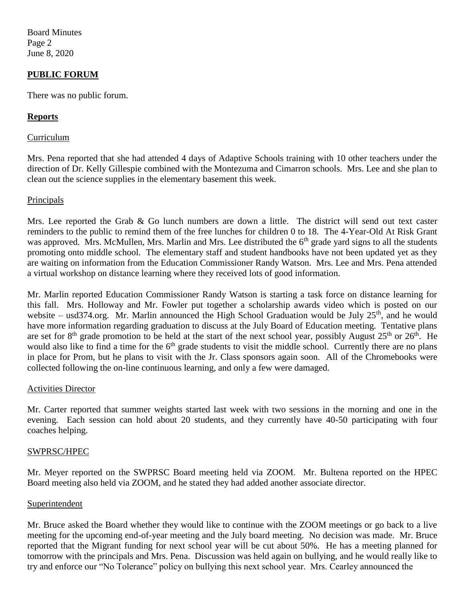Board Minutes Page 2 June 8, 2020

## **PUBLIC FORUM**

There was no public forum.

## **Reports**

#### Curriculum

Mrs. Pena reported that she had attended 4 days of Adaptive Schools training with 10 other teachers under the direction of Dr. Kelly Gillespie combined with the Montezuma and Cimarron schools. Mrs. Lee and she plan to clean out the science supplies in the elementary basement this week.

#### Principals

Mrs. Lee reported the Grab & Go lunch numbers are down a little. The district will send out text caster reminders to the public to remind them of the free lunches for children 0 to 18. The 4-Year-Old At Risk Grant was approved. Mrs. McMullen, Mrs. Marlin and Mrs. Lee distributed the 6<sup>th</sup> grade yard signs to all the students promoting onto middle school. The elementary staff and student handbooks have not been updated yet as they are waiting on information from the Education Commissioner Randy Watson. Mrs. Lee and Mrs. Pena attended a virtual workshop on distance learning where they received lots of good information.

Mr. Marlin reported Education Commissioner Randy Watson is starting a task force on distance learning for this fall. Mrs. Holloway and Mr. Fowler put together a scholarship awards video which is posted on our website – usd374.org. Mr. Marlin announced the High School Graduation would be July  $25<sup>th</sup>$ , and he would have more information regarding graduation to discuss at the July Board of Education meeting. Tentative plans are set for  $8<sup>th</sup>$  grade promotion to be held at the start of the next school year, possibly August  $25<sup>th</sup>$  or  $26<sup>th</sup>$ . He would also like to find a time for the 6<sup>th</sup> grade students to visit the middle school. Currently there are no plans in place for Prom, but he plans to visit with the Jr. Class sponsors again soon. All of the Chromebooks were collected following the on-line continuous learning, and only a few were damaged.

#### Activities Director

Mr. Carter reported that summer weights started last week with two sessions in the morning and one in the evening. Each session can hold about 20 students, and they currently have 40-50 participating with four coaches helping.

## SWPRSC/HPEC

Mr. Meyer reported on the SWPRSC Board meeting held via ZOOM. Mr. Bultena reported on the HPEC Board meeting also held via ZOOM, and he stated they had added another associate director.

#### Superintendent

Mr. Bruce asked the Board whether they would like to continue with the ZOOM meetings or go back to a live meeting for the upcoming end-of-year meeting and the July board meeting. No decision was made. Mr. Bruce reported that the Migrant funding for next school year will be cut about 50%. He has a meeting planned for tomorrow with the principals and Mrs. Pena. Discussion was held again on bullying, and he would really like to try and enforce our "No Tolerance" policy on bullying this next school year. Mrs. Cearley announced the